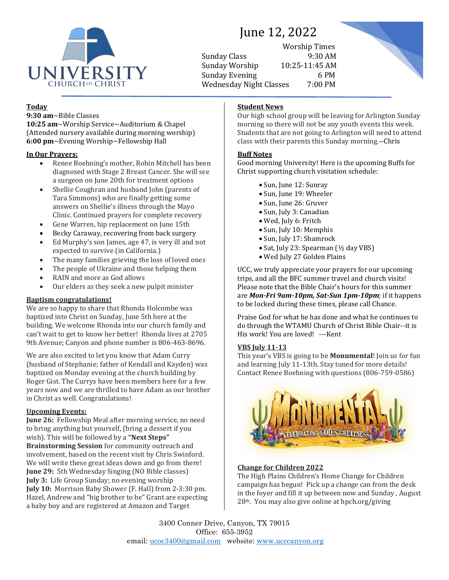

# June 12, 2022

Worship Times Sunday Class 9:30 AM Sunday Worship 10:25-11:45 AM Sunday Evening 6 PM Wednesday Night Classes 7:00 PM



# **Today**

**9:30 am**~Bible Classes

**10:25 am**~Worship Service~Auditorium & Chapel (Attended nursery available during morning worship) **6:00 pm**~Evening Worship~Fellowship Hall

# **In Our Prayers:**

- Renee Boehning's mother, Robin Mitchell has been diagnosed with Stage 2 Breast Cancer. She will see a surgeon on June 20th for treatment options
- Shellie Coughran and husband John (parents of Tara Simmons) who are finally getting some answers on Shellie's illness through the Mayo Clinic. Continued prayers for complete recovery
- Gene Warren, hip replacement on June 15th
- Becky Caraway, recovering from back surgery
- Ed Murphy's son James, age 47, is very ill and not expected to survive (in California.)
- The many families grieving the loss of loved ones
- The people of Ukraine and those helping them
- RAIN and more as God allows
- Our elders as they seek a new pulpit minister

# **Baptism congratulations!**

We are so happy to share that Rhonda Holcombe was baptized into Christ on Sunday, June 5th here at the building. We welcome Rhonda into our church family and can't wait to get to know her better! Rhonda lives at 2705 9th Avenue; Canyon and phone number is 806-463-8696.

We are also excited to let you know that Adam Curry (husband of Stephanie; father of Kendall and Kayden) was baptized on Monday evening at the church building by Roger Gist. The Currys have been members here for a few years now and we are thrilled to have Adam as our brother in Christ as well. Congratulations!

# **Upcoming Events:**

**June 26:** Fellowship Meal after morning service, no need to bring anything but yourself, (bring a dessert if you wish). This will be followed by a **"Next Steps" Brainstorming Session** for community outreach and involvement, based on the recent visit by Chris Swinford. We will write these great ideas down and go from there! **June 29:** 5th Wednesday Singing (NO Bible classes) **July 3:** Life Group Sunday; no evening worship **July 10:** Morrison Baby Shower (F. Hall) from 2-3:30 pm. Hazel, Andrew and "big brother to be" Grant are expecting a baby boy and are registered at Amazon and Target

# **Student News**

Our high school group will be leaving for Arlington Sunday morning so there will not be any youth events this week. Students that are not going to Arlington will need to attend class with their parents this Sunday morning.--Chris

# **Buff Notes**

Good morning University! Here is the upcoming Buffs for Christ supporting church visitation schedule:

- Sun, June 12: Sunray
- Sun, June 19: Wheeler
- Sun, June 26: Gruver
- Sun, July 3: Canadian
- Wed, July 6: Fritch
- Sun, July 10: Memphis
- Sun, July 17: Shamrock
- Sat, July 23: Spearman (½ day VBS)
- Wed July 27 Golden Plains

UCC, we truly appreciate your prayers for our upcoming trips, and all the BFC summer travel and church visits! Please note that the Bible Chair's hours for this summer are *Mon-Fri 9am-10pm, Sat-Sun 1pm-10pm*; if it happens to be locked during these times, please call Chance.

Praise God for what he has done and what he continues to do through the WTAMU Church of Christ Bible Chair--it is His work! You are loved! ---Kent

# **VBS July 11-13**

This year's VBS is going to be **Monumental**! Join us for fun and learning July 11-13th. Stay tuned for more details! Contact Renee Boehning with questions (806-759-0586)



# **Change for Children 2022**

The High Plains Children's Home Change for Children campaign has begun! Pick up a change can from the desk in the foyer and fill it up between now and Sunday , August 28th. You may also give online at hpch.org/giving

3400 Conner Drive, Canyon, TX 79015 Office: 655-3952 email: [ucoc3400@gmail.com](mailto:ucoc3400@gmail.com) website: [www.ucccanyon.org](http://www.ucccanyon.org/)